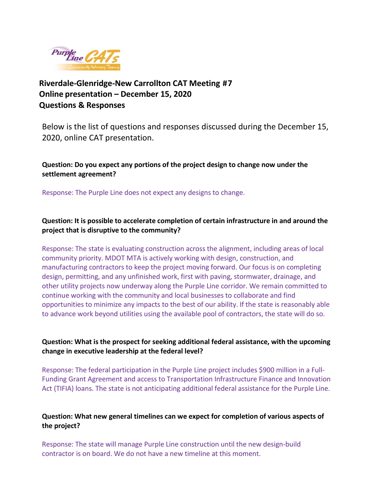

**Riverdale-Glenridge-New Carrollton CAT Meeting #7 Online presentation – December 15, 2020 Questions & Responses**

Below is the list of questions and responses discussed during the December 15, 2020, online CAT presentation.

**Question: Do you expect any portions of the project design to change now under the settlement agreement?**

Response: The Purple Line does not expect any designs to change.

**Question: It is possible to accelerate completion of certain infrastructure in and around the project that is disruptive to the community?**

Response: The state is evaluating construction across the alignment, including areas of local community priority. MDOT MTA is actively working with design, construction, and manufacturing contractors to keep the project moving forward. Our focus is on completing design, permitting, and any unfinished work, first with paving, stormwater, drainage, and other utility projects now underway along the Purple Line corridor. We remain committed to continue working with the community and local businesses to collaborate and find opportunities to minimize any impacts to the best of our ability. If the state is reasonably able to advance work beyond utilities using the available pool of contractors, the state will do so.

**Question: What is the prospect for seeking additional federal assistance, with the upcoming change in executive leadership at the federal level?**

Response: The federal participation in the Purple Line project includes \$900 million in a Full-Funding Grant Agreement and access to Transportation Infrastructure Finance and Innovation Act (TIFIA) loans. The state is not anticipating additional federal assistance for the Purple Line.

# **Question: What new general timelines can we expect for completion of various aspects of the project?**

Response: The state will manage Purple Line construction until the new design-build contractor is on board. We do not have a new timeline at this moment.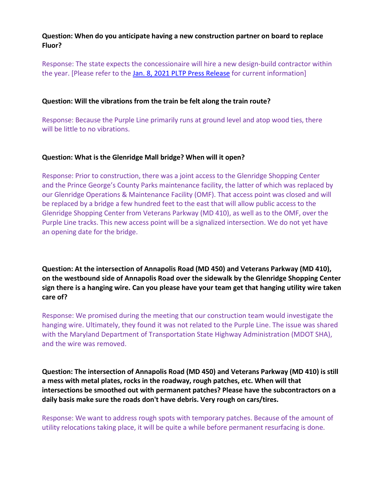# **Question: When do you anticipate having a new construction partner on board to replace Fluor?**

Response: The state expects the concessionaire will hire a new design-build contractor within the year. [Please refer to the [Jan. 8, 2021 PLTP Press Release](https://purplelinemd.com/component/jdownloads/send/91-press-releases/609-pltp-takes-first-step-in-procuring-a-new-design-build-contractor) for current information]

#### **Question: Will the vibrations from the train be felt along the train route?**

Response: Because the Purple Line primarily runs at ground level and atop wood ties, there will be little to no vibrations.

# **Question: What is the Glenridge Mall bridge? When will it open?**

Response: Prior to construction, there was a joint access to the Glenridge Shopping Center and the Prince George's County Parks maintenance facility, the latter of which was replaced by our Glenridge Operations & Maintenance Facility (OMF). That access point was closed and will be replaced by a bridge a few hundred feet to the east that will allow public access to the Glenridge Shopping Center from Veterans Parkway (MD 410), as well as to the OMF, over the Purple Line tracks. This new access point will be a signalized intersection. We do not yet have an opening date for the bridge.

**Question: At the intersection of Annapolis Road (MD 450) and Veterans Parkway (MD 410), on the westbound side of Annapolis Road over the sidewalk by the Glenridge Shopping Center sign there is a hanging wire. Can you please have your team get that hanging utility wire taken care of?**

Response: We promised during the meeting that our construction team would investigate the hanging wire. Ultimately, they found it was not related to the Purple Line. The issue was shared with the Maryland Department of Transportation State Highway Administration (MDOT SHA), and the wire was removed.

**Question: The intersection of Annapolis Road (MD 450) and Veterans Parkway (MD 410) is still a mess with metal plates, rocks in the roadway, rough patches, etc. When will that intersections be smoothed out with permanent patches? Please have the subcontractors on a daily basis make sure the roads don't have debris. Very rough on cars/tires.**

Response: We want to address rough spots with temporary patches. Because of the amount of utility relocations taking place, it will be quite a while before permanent resurfacing is done.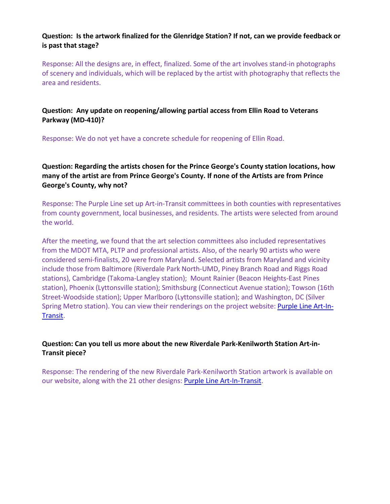# **Question: Is the artwork finalized for the Glenridge Station? If not, can we provide feedback or is past that stage?**

Response: All the designs are, in effect, finalized. Some of the art involves stand-in photographs of scenery and individuals, which will be replaced by the artist with photography that reflects the area and residents.

# **Question: Any update on reopening/allowing partial access from Ellin Road to Veterans Parkway (MD-410)?**

Response: We do not yet have a concrete schedule for reopening of Ellin Road.

**Question: Regarding the artists chosen for the Prince George's County station locations, how many of the artist are from Prince George's County. If none of the Artists are from Prince George's County, why not?**

Response: The Purple Line set up Art-in-Transit committees in both counties with representatives from county government, local businesses, and residents. The artists were selected from around the world.

After the meeting, we found that the art selection committees also included representatives from the MDOT MTA, PLTP and professional artists. Also, of the nearly 90 artists who were considered semi-finalists, 20 were from Maryland. Selected artists from Maryland and vicinity include those from Baltimore (Riverdale Park North-UMD, Piney Branch Road and Riggs Road stations), Cambridge (Takoma-Langley station); Mount Rainier (Beacon Heights-East Pines station), Phoenix (Lyttonsville station); Smithsburg (Connecticut Avenue station); Towson (16th Street-Woodside station); Upper Marlboro (Lyttonsville station); and Washington, DC (Silver Spring Metro station). You can view their renderings on the project website: **Purple Line Art-In-**[Transit.](https://gcc02.safelinks.protection.outlook.com/?url=https%3A%2F%2Fwww.purplelinemd.com%2Fabout-the-project%2Fstations%2Fart-in-transit&data=04%7C01%7CGWitherspoon1%40mdot.maryland.gov%7Ca1b6be4c2f82442372e508d8b43c6a36%7Cb38cd27c57ca4597be2822df43dd47f1%7C0%7C0%7C637457518853424238%7CUnknown%7CTWFpbGZsb3d8eyJWIjoiMC4wLjAwMDAiLCJQIjoiV2luMzIiLCJBTiI6Ik1haWwiLCJXVCI6Mn0%3D%7C1000&sdata=9aHEGJgTvTT2WJCa1HLiiL%2BiC9aK91DTJZqe8gnlxvA%3D&reserved=0)

# **Question: Can you tell us more about the new Riverdale Park-Kenilworth Station Art-in-Transit piece?**

Response: The rendering of the new Riverdale Park-Kenilworth Station artwork is available on our website, along with the 21 other designs: [Purple Line Art-In-Transit.](https://www.purplelinemd.com/about-the-project/stations/art-in-transit)